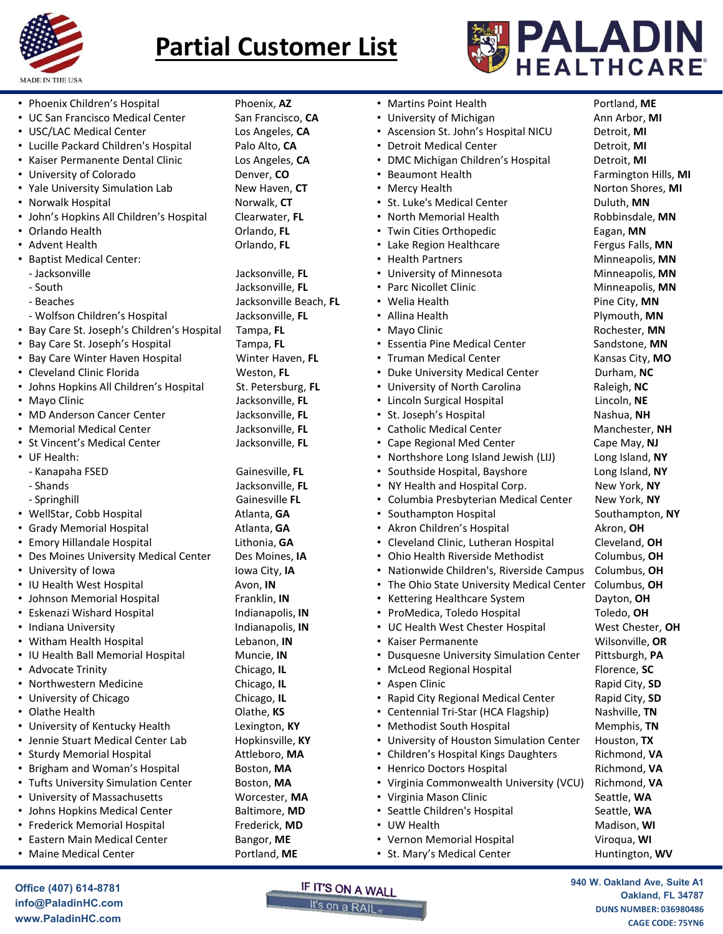



| <b>MADE IN THE USA</b>                                                |                                            | PALADIN<br><b>Partial Customer List</b>                                     |                                  |
|-----------------------------------------------------------------------|--------------------------------------------|-----------------------------------------------------------------------------|----------------------------------|
|                                                                       |                                            |                                                                             | <b>HEALTHCARE</b> ®              |
| • Phoenix Children's Hospital<br>• UC San Francisco Medical Center    | Phoenix, AZ<br>San Francisco, CA           | • Martins Point Health<br>• University of Michigan                          | Portland, ME<br>Ann Arbor, MI    |
| • USC/LAC Medical Center                                              | Los Angeles, CA                            | • Ascension St. John's Hospital NICU                                        | Detroit, MI                      |
| • Lucille Packard Children's Hospital                                 | Palo Alto, CA                              | <b>Detroit Medical Center</b>                                               | Detroit, MI                      |
| • Kaiser Permanente Dental Clinic                                     | Los Angeles, CA                            | DMC Michigan Children's Hospital                                            | Detroit, MI                      |
| • University of Colorado                                              | Denver, CO                                 | • Beaumont Health                                                           | Farmington Hills, MI             |
| • Yale University Simulation Lab<br>• Norwalk Hospital                | New Haven, CT<br>Norwalk, CT               | • Mercy Health<br>• St. Luke's Medical Center                               | Norton Shores, MI<br>Duluth, MN  |
| • John's Hopkins All Children's Hospital                              | Clearwater, FL                             | • North Memorial Health                                                     | Robbinsdale, MN                  |
| • Orlando Health                                                      | Orlando, FL                                | • Twin Cities Orthopedic                                                    | Eagan, MN                        |
| • Advent Health                                                       | Orlando, FL                                | • Lake Region Healthcare                                                    | Fergus Falls, MN                 |
| • Baptist Medical Center:                                             |                                            | • Health Partners                                                           | Minneapolis, MN                  |
| - Jacksonville                                                        | Jacksonville, FL                           | University of Minnesota                                                     | Minneapolis, MN                  |
| - South<br>- Beaches                                                  | Jacksonville, FL<br>Jacksonville Beach, FL | • Parc Nicollet Clinic<br>• Welia Health                                    | Minneapolis, MN<br>Pine City, MN |
| - Wolfson Children's Hospital                                         | Jacksonville, FL                           | Allina Health                                                               | Plymouth, MN                     |
| Bay Care St. Joseph's Children's Hospital                             | Tampa, FL                                  | • Mayo Clinic                                                               | Rochester. MN                    |
| • Bay Care St. Joseph's Hospital                                      | Tampa, FL                                  | • Essentia Pine Medical Center                                              | Sandstone, MN                    |
| • Bay Care Winter Haven Hospital                                      | Winter Haven, FL                           | • Truman Medical Center                                                     | Kansas City, MO                  |
| • Cleveland Clinic Florida                                            | Weston, FL                                 | • Duke University Medical Center                                            | Durham, NC                       |
| • Johns Hopkins All Children's Hospital<br>• Mayo Clinic              | St. Petersburg, FL<br>Jacksonville, FL     | • University of North Carolina<br>• Lincoln Surgical Hospital               | Raleigh, NC<br>Lincoln, NE       |
| • MD Anderson Cancer Center                                           | Jacksonville, FL                           | • St. Joseph's Hospital                                                     | Nashua, NH                       |
| • Memorial Medical Center                                             | Jacksonville, FL                           | • Catholic Medical Center                                                   | Manchester, NH                   |
| • St Vincent's Medical Center                                         | Jacksonville, FL                           | • Cape Regional Med Center                                                  | Cape May, NJ                     |
| • UF Health:                                                          |                                            | • Northshore Long Island Jewish (LIJ)                                       | Long Island, NY                  |
| - Kanapaha FSED<br>- Shands                                           | Gainesville, FL<br>Jacksonville, FL        | • Southside Hospital, Bayshore<br>• NY Health and Hospital Corp.            | Long Island, NY<br>New York, NY  |
| - Springhill                                                          | Gainesville FL                             | • Columbia Presbyterian Medical Center                                      | New York, NY                     |
| • WellStar, Cobb Hospital                                             | Atlanta, GA                                | • Southampton Hospital                                                      | Southampton, NY                  |
| • Grady Memorial Hospital                                             | Atlanta, GA                                | • Akron Children's Hospital                                                 | Akron, OH                        |
| • Emory Hillandale Hospital                                           | Lithonia, GA                               | Cleveland Clinic, Lutheran Hospital                                         | Cleveland, OH                    |
| • Des Moines University Medical Center                                | Des Moines, IA                             | Ohio Health Riverside Methodist                                             | Columbus, OH                     |
| • University of Iowa                                                  | Iowa City, IA                              | • Nationwide Children's, Riverside Campus                                   | Columbus, OH                     |
| • IU Health West Hospital<br>• Johnson Memorial Hospital              | Avon, IN<br>Franklin, IN                   | • The Ohio State University Medical Center<br>• Kettering Healthcare System | Columbus, OH<br>Dayton, OH       |
| • Eskenazi Wishard Hospital                                           | Indianapolis, IN                           | • ProMedica, Toledo Hospital                                                | Toledo, <b>OH</b>                |
| • Indiana University                                                  | Indianapolis, IN                           | • UC Health West Chester Hospital                                           | West Chester, OH                 |
| • Witham Health Hospital                                              | Lebanon, IN                                | • Kaiser Permanente                                                         | Wilsonville, OR                  |
| • IU Health Ball Memorial Hospital                                    | Muncie, IN                                 | • Dusquesne University Simulation Center                                    | Pittsburgh, PA                   |
| • Advocate Trinity                                                    | Chicago, IL                                | • McLeod Regional Hospital                                                  | Florence, SC                     |
| • Northwestern Medicine<br>• University of Chicago                    | Chicago, IL<br>Chicago, IL                 | • Aspen Clinic<br>• Rapid City Regional Medical Center                      | Rapid City, SD<br>Rapid City, SD |
| • Olathe Health                                                       | Olathe, KS                                 | • Centennial Tri-Star (HCA Flagship)                                        | Nashville, TN                    |
| • University of Kentucky Health                                       | Lexington, KY                              | • Methodist South Hospital                                                  | Memphis, TN                      |
| • Jennie Stuart Medical Center Lab                                    | Hopkinsville, KY                           | • University of Houston Simulation Center                                   | Houston, TX                      |
| • Sturdy Memorial Hospital                                            | Attleboro, MA                              | • Children's Hospital Kings Daughters                                       | Richmond, VA                     |
| • Brigham and Woman's Hospital                                        | Boston, MA                                 | • Henrico Doctors Hospital                                                  | Richmond, VA                     |
| • Tufts University Simulation Center<br>• University of Massachusetts | Boston, MA<br>Worcester, MA                | • Virginia Commonwealth University (VCU)<br>• Virginia Mason Clinic         | Richmond, VA<br>Seattle, WA      |
| • Johns Hopkins Medical Center                                        | Baltimore, MD                              | • Seattle Children's Hospital                                               | Seattle, WA                      |
| • Frederick Memorial Hospital                                         | Frederick, MD                              | • UW Health                                                                 | Madison, WI                      |
| • Eastern Main Medical Center                                         | Bangor, ME                                 | • Vernon Memorial Hospital                                                  | Viroqua, WI                      |
| • Maine Medical Center                                                | Portland, ME                               | • St. Mary's Medical Center                                                 | Huntington, WV                   |

Angeles, CA **•** Ascension St. John's Hospital NICU Alto, CA **•** Detroit Medical Center v Haven, CT **·** Mercy Health **Pay FL Essentia Pine Medical Center** Capacital Tampa, FL Chiefing of Uncolled Hotel (Incoress)<br>
National Mexicipation Lind (Incoress)<br>
National Hotel Hotel Montesville, FL (Incoress)<br>
Clearwater, FL (Incoress)<br>
Clearwater, FL (Incoress)<br>
Clearwater, FL (Incoress)<br>
Advent Health<br> The University Shandard Medicial Center<br>
Morwalk Angelial Medicial Center Fig. Norwalk, CT<br>
In Norwalk, Salt Club (The Medicial Center Fig. Club (The Medicial Center Fig. Club (The Medicial Center Fig. Club (The Club (The Nowak rospital (Indiden's Hospital Velvank, CH . V. U. S. V. U. S. V. U. S. V. U. S. V. U. S. V. U. S. V. U. S. V. U. S. V. U. S. V. U. S. V. U. S. V. U. S. V. U. S. V. U. S. V. U. S. V. U. S. V. U. S. V. U. S. V. U. S. V. Moines, IA **Canada Aces** Ohio Health Riverside Methodist a City, IA **Channel City, IA City, IA City, IA Company** of Nationwide Children's, Riverside Campus **St**<br>
• Martins Point Health<br>
• University of Michigan<br>
• ALTHCARE<br>
• University of Michigan<br>
• Ascension St. John's Hospital NICU<br>
• Detroit, MI<br>
• Deveroit Medical Center<br>
• Dealmont Health<br>
• Seaumont Health<br>
• St. Luke **St**<br>
• Martins Point Health<br>
• University of Michigan<br>
• Ascension St. John's Hospital NICU<br>
• Detroit Medical Center<br>
• Detroit Medical Center<br>
• Detroit Memorial Center<br>
• Mercy Health<br>
• Mercy Health<br>
• Mercy Health<br>
• **St**<br>
• Martins Point Health<br>
• University of Michigan<br>
• Accension St. John's Hospital NICU<br>
• Detroit Medical Center<br>
• Detroit Medical Center<br>
• Detroit Medical Center<br>
• Detroit Medical Center<br>
• Nexceptedith<br>
• St. Lu **St**<br>
• Martins Point Health<br>
• University of Michigan<br>
• Accession St. John's Hospital NICU Are ann Arbor, MI<br>
• Detroit Medical Center<br>
• Detroit Medical Center<br>
• Detroit Ministry of Michigan Children's Hospital NICU De **St**<br>
• Martins Point Health<br>
• University of Michigan<br>
• Ascension St. John's Hospital NICU<br>
• Detroit, MI<br>
• Detroit, MI<br>
• Detroit, MI<br>
• Detroit, MI<br>
• Detroit, MI<br>
• Detroit, MI<br>
• NEV Michigan Children's Hospital Det • University of Minnesota Minneapolis, MN **EXAMPLE ALTHCARE**<br>
• Martins Point Health<br>
• Juliensity of Michigan<br>
• Secession St. John's Hospital NICU Detroit, MI<br>
• Detroit Medical Center<br>
• Detroit Medical Center<br>
• Detroit Medical Center<br>
• Secession St. Buke's M **St**<br>
• Martins Point Health<br>
• University of Michigan<br>
• Christins Point Health<br>
• Christins School Michigan<br>
• Detroit Medical Center<br>
• Detroit Medical Center<br>
• Detroit Medical Center<br>
• Detroit Medical Center<br>
• North • Allina Health Plymouth, MN Mayo Clinic **All Accepts** Rochester, **MN** • Martins Point Health<br>• University of Michigan<br>• Martins Point Health<br>• University of Michigan<br>• DEV Michigan children's Hospital NCU Detroit, MI<br>• DEV Michigan Children's Hospital Detroit, MI<br>• Seaumont Health<br>• Nercy He • Martins Point Health<br>• University of Michigan<br>• Chiversity of Michigan<br>• Secension St. John's Hospital NICU<br>• DMC Michigan Children's Hospital<br>• Detroit, MI<br>• Detroit Medical Center<br>• Detroit Medical Center<br>• North Memor • Martins Point Health<br>• University of Michigan<br>• University of Michigan<br>• Ascension St. John's Hospital NICU Detroit, MI<br>• Detroit Medical Center Detroit, MI<br>• Detroit Medical Center Detroit, MI<br>• Never Weelth Farmington • Martins Point Health<br>• University of Michigan<br>• Ascension St. John's Hospital NICU Detroit, MI<br>• Detroit Medicial Center<br>• Detroit, MI<br>• Detroit, MI<br>• Detroit, MI<br>• For Michigan Chiidren's Hospital<br>• St. Luke's Medicial • Marinis Ponticheatar **Fouring Controlling (Surface)**<br>• University of Michigan Portuing, we accession St. John's Hospital NICU Detroit, MI<br>• Detroit Medical Center Detroit, MI<br>• Now Michigan Children's Hospital Detroit, M • St. Joseph's Hospital Nashua, NH • Section St. Jours II Shophar Michael Centrus, We are the Workington Central Centricity, MI<br>• Detroit Medical Center Detroit, MI<br>• Neroy Health Farmington Hills, MI<br>• Neroy Health Farmington Hills, MI<br>• St. Luke's Medical • Certott Med Center Cape May, NJ<br>• Chertott Medical Center Cape Regional Metroid, MI<br>• Sh. Luke's Medical Center Cape Duluth, MN<br>• North Memorial Health North Shores, MI<br>• North Memorial Health North Shores, MI<br>• Nearly M • Seatmont Health<br>• Set Luke's Medical Center<br>• Mercy Health<br>• St. Luke's Medical Center<br>• North Memorial Health<br>• Livin Citiso Orthopedic<br>• Lake Region Health<br>• Health Partners<br>• Lake Region Health<br>• Health Partners<br>• Liv • NY Health and Hospital Corp. New York, NY • Columbia Presbyterian Medical Center New York, NY • Akron Children's Hospital **Akron**, OH Cleveland Clinic, Lutheran Hospital Cleveland, OH • Neathreatins Hartines (Minimeapois, NW<br>• University of Minnesota<br>• Ohiversity of Minnesota<br>• Allina Health Pine City, MN<br>• Allina Health Pine City, MN<br>• Nayo Clinic Pymouth, MN<br>• Truman Medical Center Sandstone, MN<br>• Tru • Only enside the matter of the Minimeapois, MW • National Health Pine City, MN • Minimeapois, MN • Minimeapois, MN • Allina Health Pine City, MN • Allina Health Pine City, MN • Allina Health Pine City, MN • Allina Health The Ohio State University Medical Center Columbus, OH • Kettering Healthcare System Dayton, OH • Mini Heatin The Medical Center Manuschine (The Medical Center Naylo Clinic Provide University of North Carolina (The Chineses City, MO<br>• Duke University of North Carolina (The Chinesen Reliefs), NC<br>• University of North • Missionince Moreology Chemical Center Moreology Chester, MW • Truman Medical Center Chestans City, MO<br>• Duke University Medical Center Chestans City, MO<br>• University of North Carolina Raleigh, NC<br>• Lincoln Surgical Hospi • Sesential emiseration and Microsofte, Wilsonione, Wilsonione, Willingon The Vincenting (The University of North Carolina Raleigh, NC<br>• University of North Carolina Raleigh, NC<br>• University of North Carolina Raleigh, NC<br>• • Truman weedar Center Mansa Center Columbus, The Truman weeding the Subsept Simulation (The University of North Carolina Raleigh, NC<br>• University of North Carolina Raleigh, NC<br>• Lincoln Surgical Hospital Lincoln, NE<br>• St. • McLeod Regional Hospital Florence, SC • Only ersity of mortic around and the transmit where the the the cape (May ND Theodon Surgical Hospital Uncoln, NE<br>• Cape Regional Medical Center Cape May, NJ<br>• Northshore Long Island Aevish (LIJ) Long Island, NY<br>• Souths • Rapid City Regional Medical Center Rapid City, SD • C. Joseph Sinosyntal<br>• Catholic Medical Center<br>• Catholic Medical Center<br>• Cape Regional Med Center<br>• Southside Hospital, Bayshore Long Island, NY<br>• Southside Hospital Corp.<br>• New York, NY<br>• Columbia Presbyterian Medical • Calumic wellard Center Marinester, **The Care Normann Center**<br>• Cape Regional Med Center Marinester, **The Normann Center Cape Nay, NJ**<br>• Southside Hospital, Bayshore Long Island, NY<br>• NY Health and Hospital Corp. New York • Cape regional nuera center<br>• Northshore Long Island Jewish (LIJ) Long Island, NY<br>• Southside Hospital, Bayshore Long Island, NY<br>• VY Health and Hospital Corp. New York, NY<br>• Columbia Presbyterian Medical Center New York, • Courthinder Europy Island Dewant (Lui)<br>• Southside Hospital, Bayshore<br>• Columbia Presbyterian Medical Center New York, NY<br>• Columbia Presbyterian Medical Center New York, NY<br>• Chumbia Presbyterian Medical Center New York • Henrico Doctors Hospital Richmond, VA • Virginia Commonwealth University (VCU) Richmond, VA • Countom Presbyterian Iweara Lenter Mew York, NY<br>• Southampton Hospital Southampton, NY<br>• Ceveland Clinic, Lutheran Hospital Akron, OH<br>• Chinic Rath Riverside Methodist Columbus, OH<br>• Nitionwide Children's, Riverside Camp • Souralington Hospital Seattle, WA<br>• Seattle Children's Hospital Seattle, When Children's Hospital Akron, OH<br>• Chio Health Riverside Methodist Columbus, OH<br>• Nationwide Children's, Riverside Campus Columbus, OH<br>• Nationwi • Nation Center Stopial<br>• Cleveland Clinic, Lutheran Hospital Cleveland, OH<br>• Nationwide Children's, Riverside Campus Columbus, OH<br>• Nationwide Children's, Riverside Campus Columbus, OH<br>• Fromedica, Toledo Hospital Toledo,

- 
- Maine Medical Center **Portland, ME** St. Mary's Medical Center